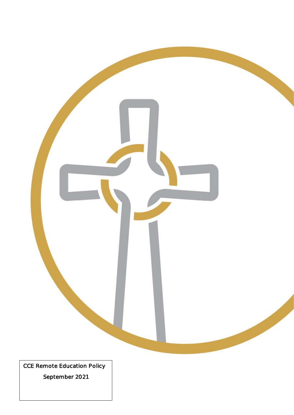

September 2021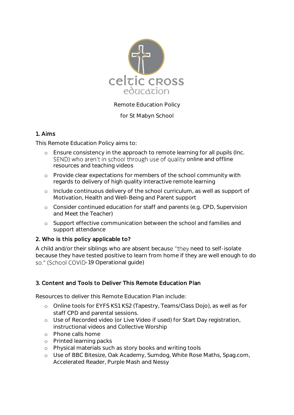

Remote Education Policy

for St Mabyn School

# 1. Aims

This Remote Education Policy aims to:

- o Ensure consistency in the approach to remote learning for all pupils (Inc. SEND) who aren't in school through use of quality online and offline resources and teaching videos
- o Provide clear expectations for members of the school community with regards to delivery of high quality interactive remote learning
- o Include continuous delivery of the school curriculum, as well as support of Motivation, Health and Well-Being and Parent support
- o Consider continued education for staff and parents (e.g. CPD, Supervision and Meet the Teacher)
- o Support effective communication between the school and families and support attendance

# 2. Who is this policy applicable to?

A child and/or their siblings who are absent because "they need to self-isolate because they have tested positive to learn from home if they are well enough to do so." (School COVID-19 Operational guide)

# 3. Content and Tools to Deliver This Remote Education Plan

Resources to deliver this Remote Education Plan include:

- o Online tools for EYFS KS1 KS2 (Tapestry, Teams/Class Dojo), as well as for staff CPD and parental sessions.
- o Use of Recorded video (or Live Video if used) for Start Day registration, instructional videos and Collective Worship
- o Phone calls home
- o Printed learning packs
- o Physical materials such as story books and writing tools
- o Use of BBC Bitesize, Oak Academy, Sumdog, White Rose Maths, Spag.com, Accelerated Reader, Purple Mash and Nessy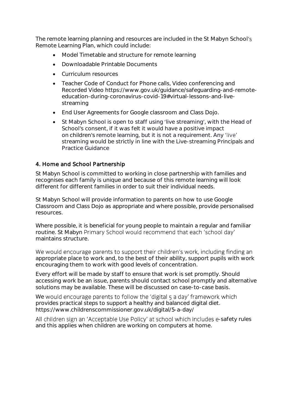The remote learning planning and resources are included in the St Mabyn School's Remote Learning Plan, which could include:

- Model Timetable and structure for remote learning
- Downloadable Printable Documents
- Curriculum resources
- Teacher Code of Conduct for Phone calls, Video conferencing and Recorded Video https://www.gov.uk/guidance/safeguarding-and-remoteeducation-during-coronavirus-covid-19#virtual-lessons-and-livestreaming
- End User Agreements for Google classroom and Class Dojo.
- St Mabyn School is open to staff using 'live streaming', with the Head of School's consent, if it was felt it would have a positive impact on children's remote learning, but it is not a requirement. Any streaming would be strictly in line with the Live-streaming Principals and Practice Guidance

## 4. Home and School Partnership

St Mabyn School is committed to working in close partnership with families and recognises each family is unique and because of this remote learning will look different for different families in order to suit their individual needs.

St Mabyn School will provide information to parents on how to use Google Classroom and Class Dojo as appropriate and where possible, provide personalised resources.

Where possible, it is beneficial for young people to maintain a regular and familiar routine. St Mabyn Primary School would recommend that each 'school day' maintains structure.

We would encourage parents to support their children's work, including finding an appropriate place to work and, to the best of their ability, support pupils with work encouraging them to work with good levels of concentration.

Every effort will be made by staff to ensure that work is set promptly. Should accessing work be an issue, parents should contact school promptly and alternative solutions may be available. These will be discussed on case-to-case basis.

We would encourage parents to follow the 'digital 5 a day' framework which provides practical steps to support a healthy and balanced digital diet. https://www.childrenscommissioner.gov.uk/digital/5-a-day/

All children sign an 'Acceptable Use Policy' at school which includes e-safety rules and this applies when children are working on computers at home.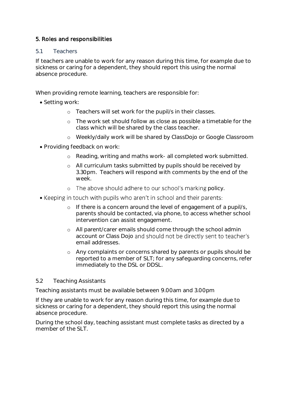# 5. Roles and responsibilities

### 5.1 Teachers

If teachers are unable to work for any reason during this time, for example due to sickness or caring for a dependent, they should report this using the normal absence procedure.

When providing remote learning, teachers are responsible for:

- Setting work:
	- o Teachers will set work for the pupil/s in their classes.
	- o The work set should follow as close as possible a timetable for the class which will be shared by the class teacher.
	- o Weekly/daily work will be shared by ClassDojo or Google Classroom
- Providing feedback on work:
	- o Reading, writing and maths work- all completed work submitted.
	- o All curriculum tasks submitted by pupils should be received by 3.30pm. Teachers will respond with comments by the end of the week.
	- o The above should adhere to our school's marking policy.
- Keeping in touch with pupils who aren't in school and their parents:
	- o If there is a concern around the level of engagement of a pupil/s, parents should be contacted, via phone, to access whether school intervention can assist engagement.
	- o All parent/carer emails should come through the school admin account or Class Dojo and should not be directly sent to teacher's email addresses.
	- o Any complaints or concerns shared by parents or pupils should be reported to a member of SLT; for any safeguarding concerns, refer immediately to the DSL or DDSL.

## 5.2 Teaching Assistants

Teaching assistants must be available between 9.00am and 3.00pm

If they are unable to work for any reason during this time, for example due to sickness or caring for a dependent, they should report this using the normal absence procedure.

During the school day, teaching assistant must complete tasks as directed by a member of the SLT.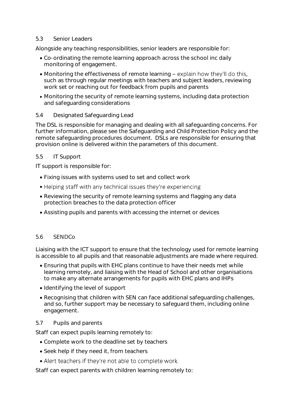#### 5.3 Senior Leaders

Alongside any teaching responsibilities, senior leaders are responsible for:

- Co-ordinating the remote learning approach across the school inc daily monitoring of engagement.
- Monitoring the effectiveness of remote learning explain how they'll do this. such as through regular meetings with teachers and subject leaders, reviewing work set or reaching out for feedback from pupils and parents
- Monitoring the security of remote learning systems, including data protection and safeguarding considerations

## 5.4 Designated Safeguarding Lead

The DSL is responsible for managing and dealing with all safeguarding concerns. For further information, please see the Safeguarding and Child Protection Policy and the remote safeguarding procedures document. DSLs are responsible for ensuring that provision online is delivered within the parameters of this document.

#### 5.5 IT Support

IT support is responsible for:

- Fixing issues with systems used to set and collect work
- Helping staff with any technical issues they're experiencing
- Reviewing the security of remote learning systems and flagging any data protection breaches to the data protection officer
- Assisting pupils and parents with accessing the internet or devices

#### 5.6 SENDCo

Liaising with the ICT support to ensure that the technology used for remote learning is accessible to all pupils and that reasonable adjustments are made where required.

- Ensuring that pupils with EHC plans continue to have their needs met while learning remotely, and liaising with the Head of School and other organisations to make any alternate arrangements for pupils with EHC plans and IHPs
- Identifying the level of support
- Recognising that children with SEN can face additional safeguarding challenges, and so, further support may be necessary to safeguard them, including online engagement.

#### 5.7 Pupils and parents

Staff can expect pupils learning remotely to:

- Complete work to the deadline set by teachers
- Seek help if they need it, from teachers
- Alert teachers if they're not able to complete work

Staff can expect parents with children learning remotely to: